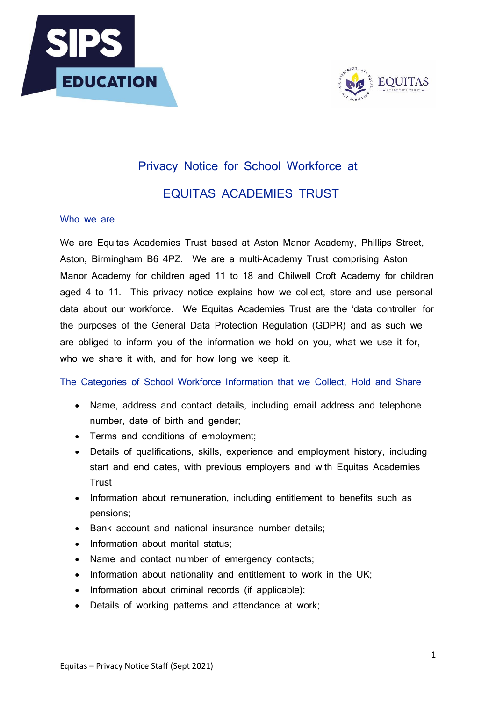



# Privacy Notice for School Workforce at EQUITAS ACADEMIES TRUST

### Who we are

We are Equitas Academies Trust based at Aston Manor Academy, Phillips Street, Aston, Birmingham B6 4PZ. We are a multi-Academy Trust comprising Aston Manor Academy for children aged 11 to 18 and Chilwell Croft Academy for children aged 4 to 11. This privacy notice explains how we collect, store and use personal data about our workforce. We Equitas Academies Trust are the 'data controller' for the purposes of the General Data Protection Regulation (GDPR) and as such we are obliged to inform you of the information we hold on you, what we use it for, who we share it with, and for how long we keep it.

The Categories of School Workforce Information that we Collect, Hold and Share

- Name, address and contact details, including email address and telephone number, date of birth and gender;
- Terms and conditions of employment;
- Details of qualifications, skills, experience and employment history, including start and end dates, with previous employers and with Equitas Academies **Trust**
- Information about remuneration, including entitlement to benefits such as pensions;
- Bank account and national insurance number details;
- Information about marital status;
- Name and contact number of emergency contacts;
- Information about nationality and entitlement to work in the UK;
- Information about criminal records (if applicable);
- Details of working patterns and attendance at work;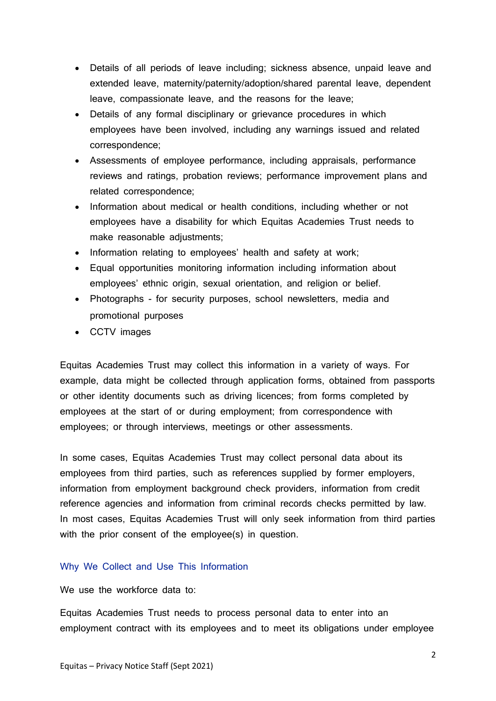- Details of all periods of leave including; sickness absence, unpaid leave and extended leave, maternity/paternity/adoption/shared parental leave, dependent leave, compassionate leave, and the reasons for the leave;
- Details of any formal disciplinary or grievance procedures in which employees have been involved, including any warnings issued and related correspondence;
- Assessments of employee performance, including appraisals, performance reviews and ratings, probation reviews; performance improvement plans and related correspondence;
- Information about medical or health conditions, including whether or not employees have a disability for which Equitas Academies Trust needs to make reasonable adjustments;
- Information relating to employees' health and safety at work;
- Equal opportunities monitoring information including information about employees' ethnic origin, sexual orientation, and religion or belief.
- Photographs for security purposes, school newsletters, media and promotional purposes
- CCTV images

Equitas Academies Trust may collect this information in a variety of ways. For example, data might be collected through application forms, obtained from passports or other identity documents such as driving licences; from forms completed by employees at the start of or during employment; from correspondence with employees; or through interviews, meetings or other assessments.

In some cases, Equitas Academies Trust may collect personal data about its employees from third parties, such as references supplied by former employers, information from employment background check providers, information from credit reference agencies and information from criminal records checks permitted by law. In most cases, Equitas Academies Trust will only seek information from third parties with the prior consent of the employee(s) in question.

### Why We Collect and Use This Information

We use the workforce data to:

Equitas Academies Trust needs to process personal data to enter into an employment contract with its employees and to meet its obligations under employee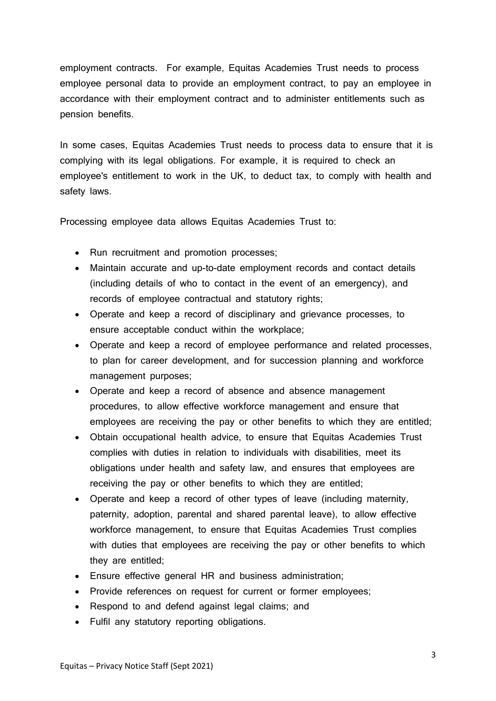employment contracts. For example, Equitas Academies Trust needs to process employee personal data to provide an employment contract, to pay an employee in accordance with their employment contract and to administer entitlements such as pension benefits.

In some cases, Equitas Academies Trust needs to process data to ensure that it is complying with its legal obligations. For example, it is required to check an employee's entitlement to work in the UK, to deduct tax, to comply with health and safety laws.

Processing employee data allows Equitas Academies Trust to:

- Run recruitment and promotion processes;
- Maintain accurate and up-to-date employment records and contact details (including details of who to contact in the event of an emergency), and records of employee contractual and statutory rights;
- Operate and keep a record of disciplinary and grievance processes, to ensure acceptable conduct within the workplace;
- Operate and keep a record of employee performance and related processes, to plan for career development, and for succession planning and workforce management purposes;
- Operate and keep a record of absence and absence management procedures, to allow effective workforce management and ensure that employees are receiving the pay or other benefits to which they are entitled;
- Obtain occupational health advice, to ensure that Equitas Academies Trust complies with duties in relation to individuals with disabilities, meet its obligations under health and safety law, and ensures that employees are receiving the pay or other benefits to which they are entitled;
- Operate and keep a record of other types of leave (including maternity, paternity, adoption, parental and shared parental leave), to allow effective workforce management, to ensure that Equitas Academies Trust complies with duties that employees are receiving the pay or other benefits to which they are entitled;
- Ensure effective general HR and business administration;
- Provide references on request for current or former employees;
- Respond to and defend against legal claims; and
- Fulfil any statutory reporting obligations.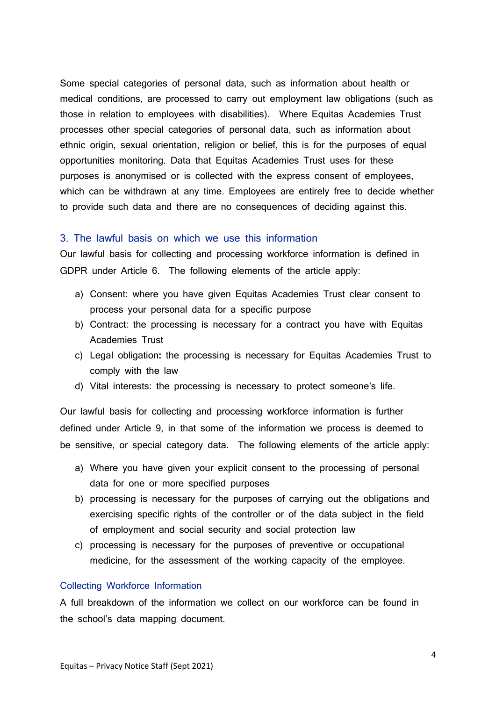Some special categories of personal data, such as information about health or medical conditions, are processed to carry out employment law obligations (such as those in relation to employees with disabilities). Where Equitas Academies Trust processes other special categories of personal data, such as information about ethnic origin, sexual orientation, religion or belief, this is for the purposes of equal opportunities monitoring. Data that Equitas Academies Trust uses for these purposes is anonymised or is collected with the express consent of employees, which can be withdrawn at any time. Employees are entirely free to decide whether to provide such data and there are no consequences of deciding against this.

#### 3. The lawful basis on which we use this information

Our lawful basis for collecting and processing workforce information is defined in GDPR under Article 6. The following elements of the article apply:

- a) Consent: where you have given Equitas Academies Trust clear consent to process your personal data for a specific purpose
- b) Contract: the processing is necessary for a contract you have with Equitas Academies Trust
- c) Legal obligation**:** the processing is necessary for Equitas Academies Trust to comply with the law
- d) Vital interests: the processing is necessary to protect someone's life.

Our lawful basis for collecting and processing workforce information is further defined under Article 9, in that some of the information we process is deemed to be sensitive, or special category data. The following elements of the article apply:

- a) Where you have given your explicit consent to the processing of personal data for one or more specified purposes
- b) processing is necessary for the purposes of carrying out the obligations and exercising specific rights of the controller or of the data subject in the field of employment and social security and social protection law
- c) processing is necessary for the purposes of preventive or occupational medicine, for the assessment of the working capacity of the employee.

#### Collecting Workforce Information

A full breakdown of the information we collect on our workforce can be found in the school's data mapping document.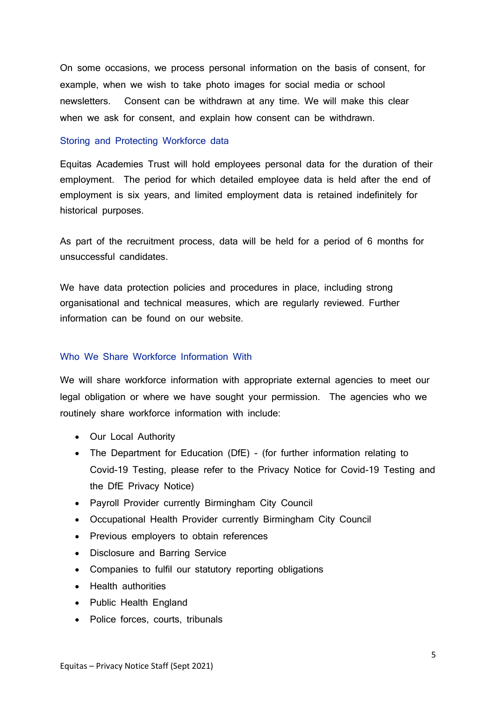On some occasions, we process personal information on the basis of consent, for example, when we wish to take photo images for social media or school newsletters. Consent can be withdrawn at any time. We will make this clear when we ask for consent, and explain how consent can be withdrawn.

### Storing and Protecting Workforce data

Equitas Academies Trust will hold employees personal data for the duration of their employment. The period for which detailed employee data is held after the end of employment is six years, and limited employment data is retained indefinitely for historical purposes.

As part of the recruitment process, data will be held for a period of 6 months for unsuccessful candidates.

We have data protection policies and procedures in place, including strong organisational and technical measures, which are regularly reviewed. Further information can be found on our website.

### Who We Share Workforce Information With

We will share workforce information with appropriate external agencies to meet our legal obligation or where we have sought your permission. The agencies who we routinely share workforce information with include:

- Our Local Authority
- The Department for Education (DfE) (for further information relating to Covid-19 Testing, please refer to the Privacy Notice for Covid-19 Testing and the DfE Privacy Notice)
- Payroll Provider currently Birmingham City Council
- Occupational Health Provider currently Birmingham City Council
- Previous employers to obtain references
- Disclosure and Barring Service
- Companies to fulfil our statutory reporting obligations
- Health authorities
- Public Health England
- Police forces, courts, tribunals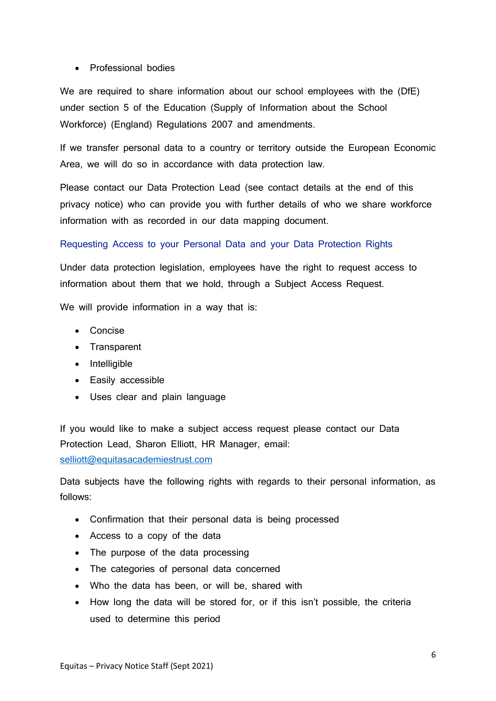## • Professional bodies

We are required to share information about our school employees with the (DfE) under section 5 of the Education (Supply of Information about the School Workforce) (England) Regulations 2007 and amendments.

If we transfer personal data to a country or territory outside the European Economic Area, we will do so in accordance with data protection law.

Please contact our Data Protection Lead (see contact details at the end of this privacy notice) who can provide you with further details of who we share workforce information with as recorded in our data mapping document.

## Requesting Access to your Personal Data and your Data Protection Rights

Under data protection legislation, employees have the right to request access to information about them that we hold, through a Subject Access Request.

We will provide information in a way that is:

- Concise
- Transparent
- Intelligible
- Easily accessible
- Uses clear and plain language

If you would like to make a subject access request please contact our Data Protection Lead, Sharon Elliott, HR Manager, email:

[selliott@equitasacademiestrust.com](mailto:selliott@equitasacademiestrust.com)

Data subjects have the following rights with regards to their personal information, as follows:

- Confirmation that their personal data is being processed
- Access to a copy of the data
- The purpose of the data processing
- The categories of personal data concerned
- Who the data has been, or will be, shared with
- How long the data will be stored for, or if this isn't possible, the criteria used to determine this period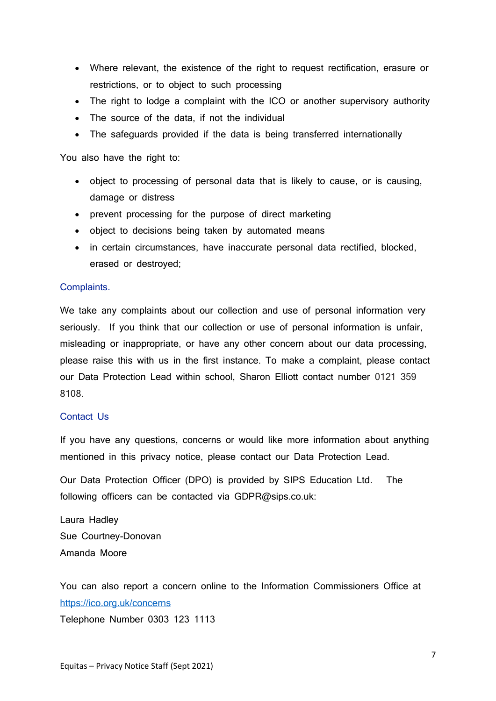- Where relevant, the existence of the right to request rectification, erasure or restrictions, or to object to such processing
- The right to lodge a complaint with the ICO or another supervisory authority
- The source of the data, if not the individual
- The safeguards provided if the data is being transferred internationally

You also have the right to:

- object to processing of personal data that is likely to cause, or is causing, damage or distress
- prevent processing for the purpose of direct marketing
- object to decisions being taken by automated means
- in certain circumstances, have inaccurate personal data rectified, blocked, erased or destroyed;

### Complaints.

We take any complaints about our collection and use of personal information very seriously. If you think that our collection or use of personal information is unfair, misleading or inappropriate, or have any other concern about our data processing, please raise this with us in the first instance. To make a complaint, please contact our Data Protection Lead within school, Sharon Elliott contact number 0121 359 8108.

### Contact Us

If you have any questions, concerns or would like more information about anything mentioned in this privacy notice, please contact our Data Protection Lead.

Our Data Protection Officer (DPO) is provided by SIPS Education Ltd. The following officers can be contacted via GDPR@sips.co.uk:

Laura Hadley Sue Courtney-Donovan Amanda Moore

You can also report a concern online to the Information Commissioners Office at <https://ico.org.uk/concerns>

Telephone Number 0303 123 1113